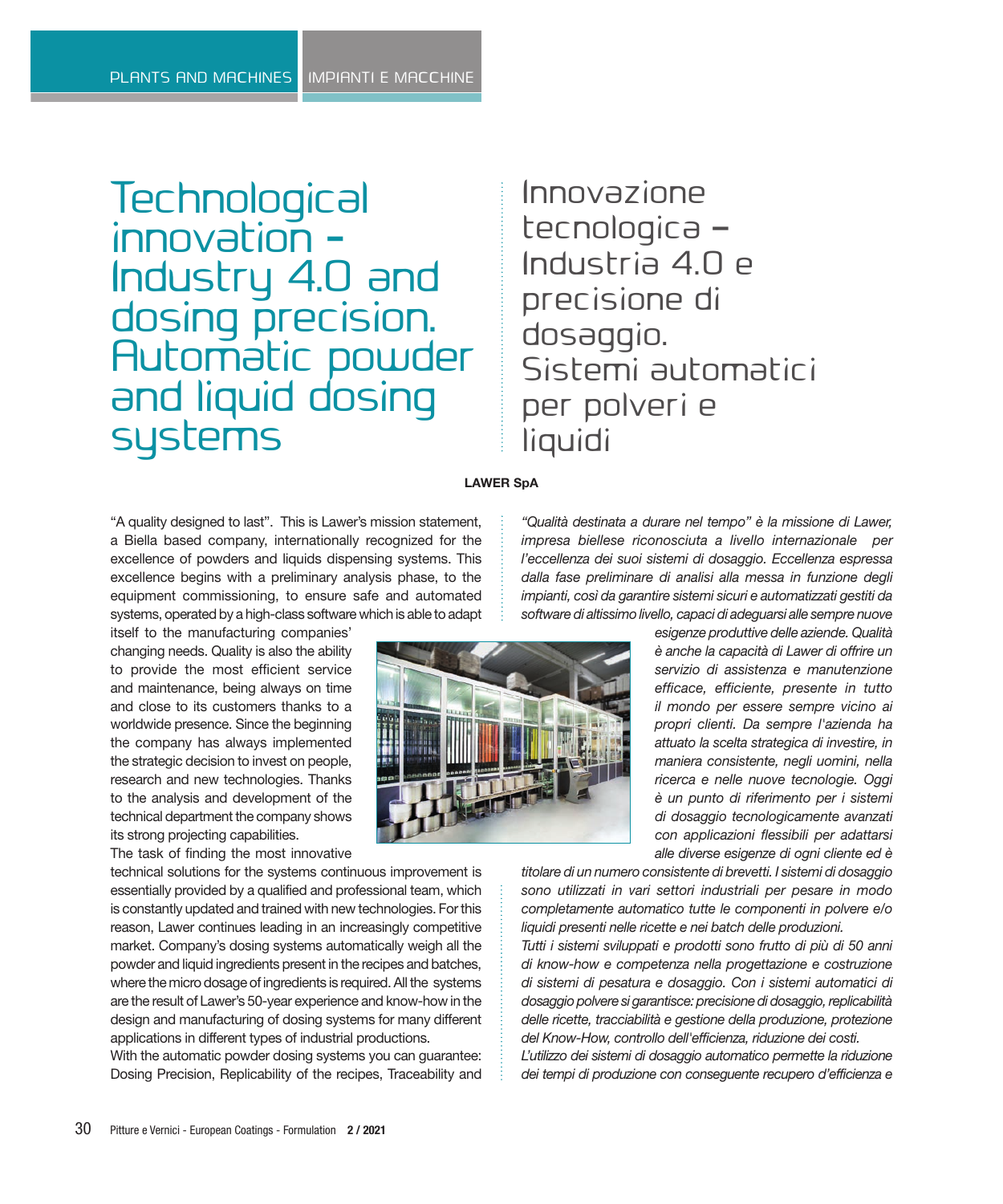**Technological** innovation - Industry 4.0 and dosing precision. Automatic powder and liquid dosing systems

## Innovazione tecnologica – Industria 4.0 e precisione di dosaggio. Sistemi automatici per polveri e liquidi

## **LAWER SpA**

"A quality designed to last". This is Lawer's mission statement, a Biella based company, internationally recognized for the excellence of powders and liquids dispensing systems. This excellence begins with a preliminary analysis phase, to the equipment commissioning, to ensure safe and automated systems, operated by a high-class software which is able to adapt

itself to the manufacturing companies' changing needs. Quality is also the ability to provide the most efficient service and maintenance, being always on time and close to its customers thanks to a worldwide presence. Since the beginning the company has always implemented the strategic decision to invest on people, research and new technologies. Thanks to the analysis and development of the technical department the company shows its strong projecting capabilities.

The task of finding the most innovative

technical solutions for the systems continuous improvement is essentially provided by a qualified and professional team, which is constantly updated and trained with new technologies. For this reason, Lawer continues leading in an increasingly competitive market. Company's dosing systems automatically weigh all the powder and liquid ingredients present in the recipes and batches, where the micro dosage of ingredients is required. All the systems are the result of Lawer's 50-year experience and know-how in the design and manufacturing of dosing systems for many different applications in different types of industrial productions.

With the automatic powder dosing systems you can guarantee: Dosing Precision, Replicability of the recipes, Traceability and *"Qualità destinata a durare nel tempo" è la missione di Lawer, impresa biellese riconosciuta a livello internazionale per l'eccellenza dei suoi sistemi di dosaggio. Eccellenza espressa dalla fase preliminare di analisi alla messa in funzione degli impianti, così da garantire sistemi sicuri e automatizzati gestiti da software di altissimo livello, capaci di adeguarsi alle sempre nuove* 

> *esigenze produttive delle aziende. Qualità è anche la capacità di Lawer di offrire un servizio di assistenza e manutenzione efficace, efficiente, presente in tutto il mondo per essere sempre vicino ai propri clienti. Da sempre l'azienda ha attuato la scelta strategica di investire, in maniera consistente, negli uomini, nella ricerca e nelle nuove tecnologie. Oggi è un punto di riferimento per i sistemi di dosaggio tecnologicamente avanzati con applicazioni flessibili per adattarsi alle diverse esigenze di ogni cliente ed è*

*titolare di un numero consistente di brevetti. I sistemi di dosaggio sono utilizzati in vari settori industriali per pesare in modo completamente automatico tutte le componenti in polvere e/o liquidi presenti nelle ricette e nei batch delle produzioni.*

*Tutti i sistemi sviluppati e prodotti sono frutto di più di 50 anni di know-how e competenza nella progettazione e costruzione di sistemi di pesatura e dosaggio. Con i sistemi automatici di dosaggio polvere si garantisce: precisione di dosaggio, replicabilità delle ricette, tracciabilità e gestione della produzione, protezione del Know-How, controllo dell'efficienza, riduzione dei costi.*

*L'utilizzo dei sistemi di dosaggio automatico permette la riduzione dei tempi di produzione con conseguente recupero d'efficienza e* 

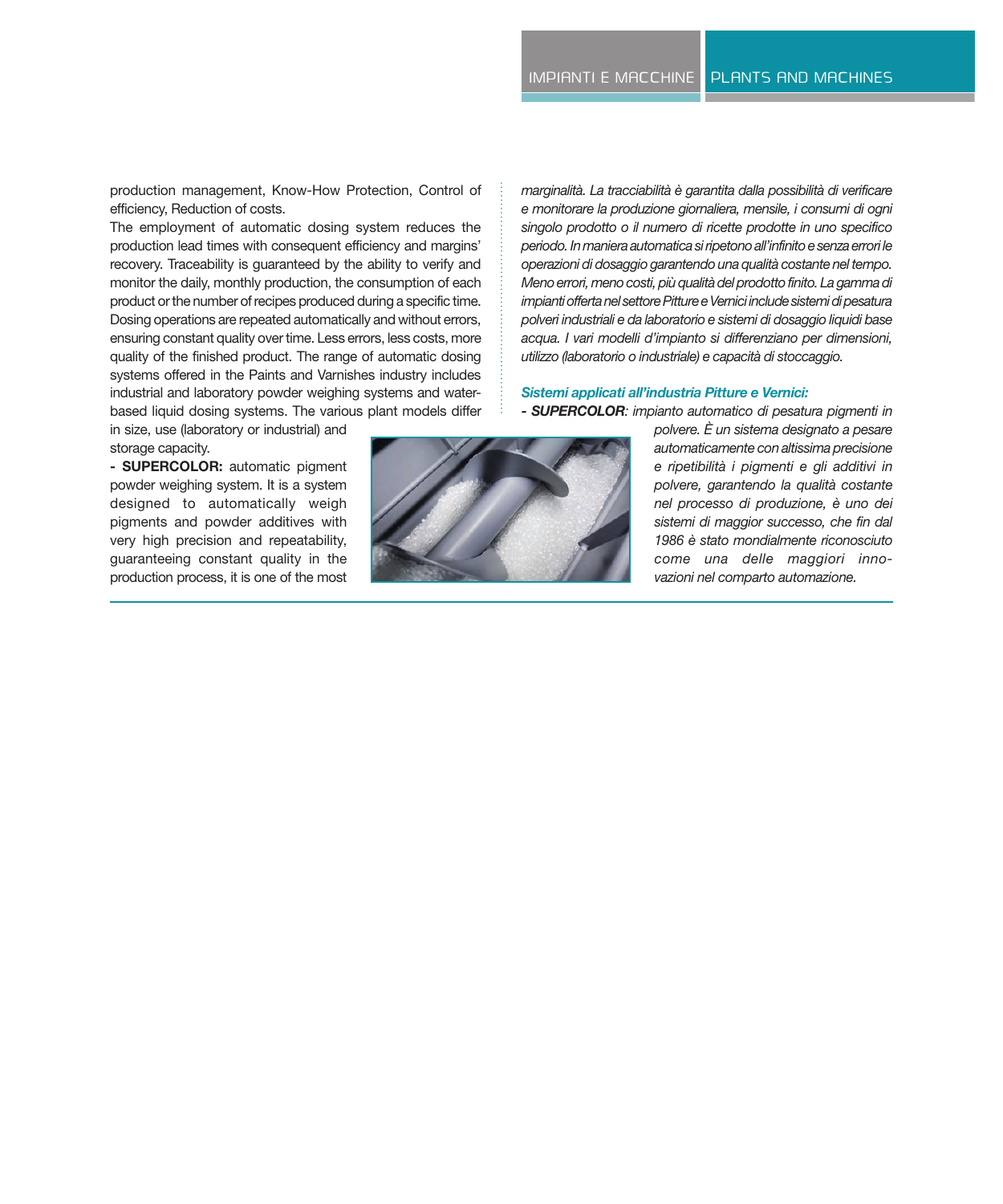production management, Know-How Protection, Control of efficiency, Reduction of costs.

The employment of automatic dosing system reduces the production lead times with consequent efficiency and margins' recovery. Traceability is guaranteed by the ability to verify and monitor the daily, monthly production, the consumption of each product or the number of recipes produced during a specific time. Dosing operations are repeated automatically and without errors, ensuring constant quality over time. Less errors, less costs, more quality of the finished product. The range of automatic dosing systems offered in the Paints and Varnishes industry includes industrial and laboratory powder weighing systems and waterbased liquid dosing systems. The various plant models differ

in size, use (laboratory or industrial) and storage capacity.

**- SUPERCOLOR:** automatic pigment powder weighing system. It is a system designed to automatically weigh pigments and powder additives with very high precision and repeatability, guaranteeing constant quality in the production process, it is one of the most



*marginalità. La tracciabilità è garantita dalla possibilità di verificare e monitorare la produzione giornaliera, mensile, i consumi di ogni singolo prodotto o il numero di ricette prodotte in uno specifico periodo. In maniera automatica si ripetono all'infinito e senza errori le operazioni di dosaggio garantendo una qualità costante nel tempo. Meno errori, meno costi, più qualità del prodotto finito. La gamma di impianti offerta nel settore Pitture e Vernici include sistemi di pesatura polveri industriali e da laboratorio e sistemi di dosaggio liquidi base acqua. I vari modelli d'impianto si differenziano per dimensioni, utilizzo (laboratorio o industriale) e capacità di stoccaggio.*

## *Sistemi applicati all'industria Pitture e Vernici:*

*- SUPERCOLOR: impianto automatico di pesatura pigmenti in*

*polvere. È un sistema designato a pesare automaticamente con altissima precisione e ripetibilità i pigmenti e gli additivi in polvere, garantendo la qualità costante nel processo di produzione, è uno dei sistemi di maggior successo, che fin dal 1986 è stato mondialmente riconosciuto come una delle maggiori innovazioni nel comparto automazione.*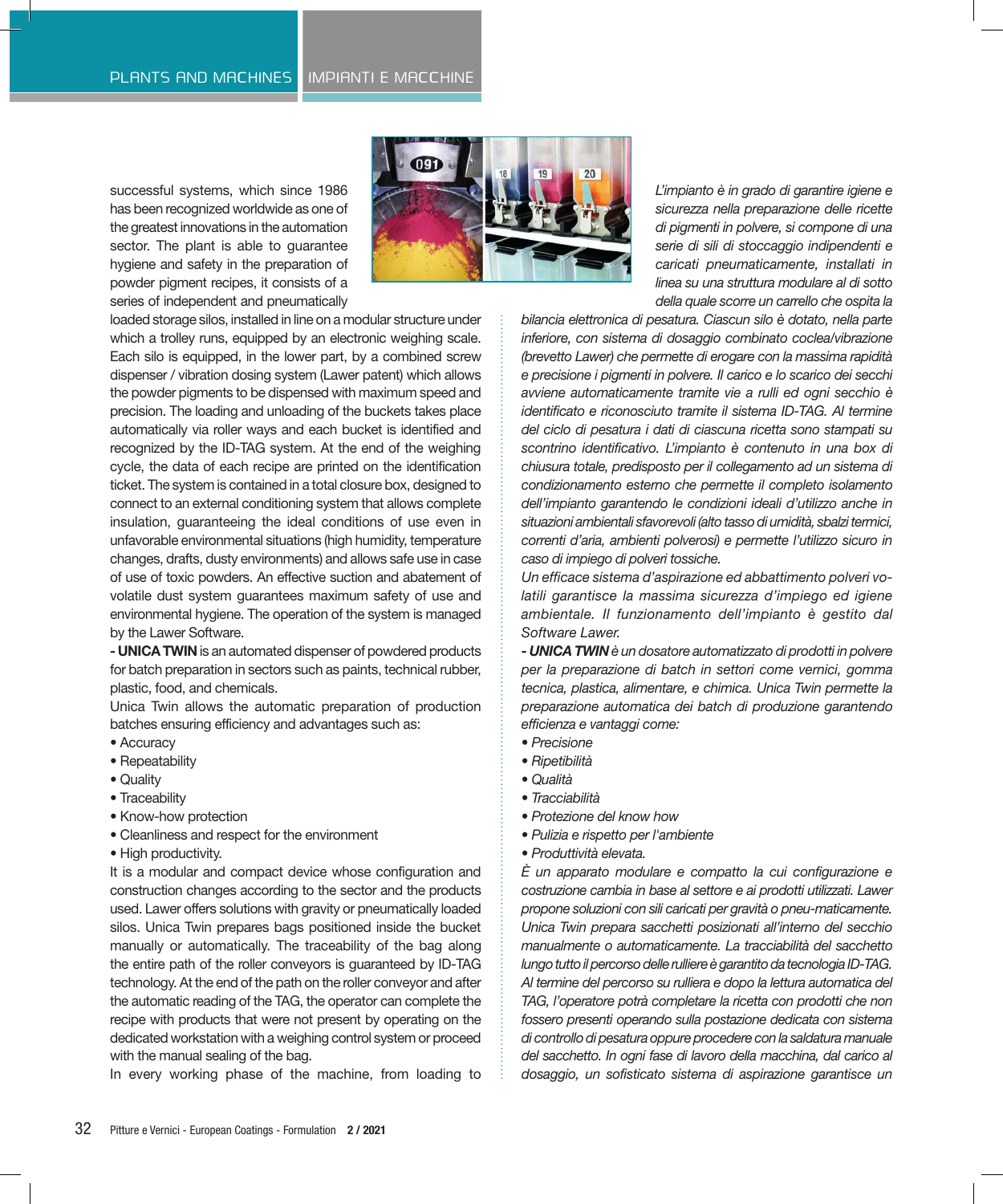successful systems, which since 1986 has been recognized worldwide as one of the greatest innovations in the automation sector. The plant is able to guarantee hygiene and safety in the preparation of powder pigment recipes, it consists of a series of independent and pneumatically



loaded storage silos, installed in line on a modular structure under which a trolley runs, equipped by an electronic weighing scale. Each silo is equipped, in the lower part, by a combined screw dispenser / vibration dosing system (Lawer patent) which allows the powder pigments to be dispensed with maximum speed and precision. The loading and unloading of the buckets takes place automatically via roller ways and each bucket is identified and recognized by the ID-TAG system. At the end of the weighing cycle, the data of each recipe are printed on the identification ticket. The system is contained in a total closure box, designed to connect to an external conditioning system that allows complete insulation, guaranteeing the ideal conditions of use even in unfavorable environmental situations (high humidity, temperature changes, drafts, dusty environments) and allows safe use in case of use of toxic powders. An effective suction and abatement of volatile dust system guarantees maximum safety of use and environmental hygiene. The operation of the system is managed by the Lawer Software.

**- UNICA TWIN** is an automated dispenser of powdered products for batch preparation in sectors such as paints, technical rubber, plastic, food, and chemicals.

Unica Twin allows the automatic preparation of production batches ensuring efficiency and advantages such as:

- Accuracy
- Repeatability
- Quality
- Traceability
- Know-how protection
- Cleanliness and respect for the environment
- High productivity.

It is a modular and compact device whose configuration and construction changes according to the sector and the products used. Lawer offers solutions with gravity or pneumatically loaded silos. Unica Twin prepares bags positioned inside the bucket manually or automatically. The traceability of the bag along the entire path of the roller conveyors is guaranteed by ID-TAG technology. At the end of the path on the roller conveyor and after the automatic reading of the TAG, the operator can complete the recipe with products that were not present by operating on the dedicated workstation with a weighing control system or proceed with the manual sealing of the bag.

In every working phase of the machine, from loading to

*L'impianto è in grado di garantire igiene e sicurezza nella preparazione delle ricette di pigmenti in polvere, si compone di una serie di sili di stoccaggio indipendenti e caricati pneumaticamente, installati in linea su una struttura modulare al di sotto della quale scorre un carrello che ospita la* 

*bilancia elettronica di pesatura. Ciascun silo è dotato, nella parte inferiore, con sistema di dosaggio combinato coclea/vibrazione (brevetto Lawer) che permette di erogare con la massima rapidità e precisione i pigmenti in polvere. Il carico e lo scarico dei secchi avviene automaticamente tramite vie a rulli ed ogni secchio è identificato e riconosciuto tramite il sistema ID-TAG. Al termine del ciclo di pesatura i dati di ciascuna ricetta sono stampati su scontrino identificativo. L'impianto è contenuto in una box di chiusura totale, predisposto per il collegamento ad un sistema di condizionamento esterno che permette il completo isolamento dell'impianto garantendo le condizioni ideali d'utilizzo anche in situazioni ambientali sfavorevoli (alto tasso di umidità, sbalzi termici, correnti d'aria, ambienti polverosi) e permette l'utilizzo sicuro in caso di impiego di polveri tossiche.*

*Un efficace sistema d'aspirazione ed abbattimento polveri volatili garantisce la massima sicurezza d'impiego ed igiene ambientale. Il funzionamento dell'impianto è gestito dal Software Lawer.*

*- UNICA TWIN è un dosatore automatizzato di prodotti in polvere per la preparazione di batch in settori come vernici, gomma tecnica, plastica, alimentare, e chimica. Unica Twin permette la preparazione automatica dei batch di produzione garantendo efficienza e vantaggi come:*

- *Precisione*
- *Ripetibilità*
- *Qualità*
- *Tracciabilità*
- *Protezione del know how*
- *Pulizia e rispetto per l'ambiente*
- *Produttività elevata.*

*È un apparato modulare e compatto la cui configurazione e costruzione cambia in base al settore e ai prodotti utilizzati. Lawer propone soluzioni con sili caricati per gravità o pneu-maticamente. Unica Twin prepara sacchetti posizionati all'interno del secchio manualmente o automaticamente. La tracciabilità del sacchetto lungo tutto il percorso delle rulliere è garantito da tecnologia ID-TAG. Al termine del percorso su rulliera e dopo la lettura automatica del TAG, l'operatore potrà completare la ricetta con prodotti che non fossero presenti operando sulla postazione dedicata con sistema di controllo di pesatura oppure procedere con la saldatura manuale del sacchetto. In ogni fase di lavoro della macchina, dal carico al dosaggio, un sofisticato sistema di aspirazione garantisce un*